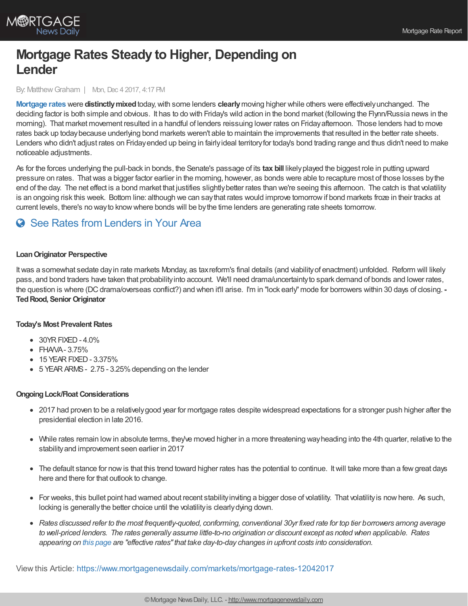

# **Mortgage Rates Steady to Higher, Depending on Lender**

By: Matthew Graham | Mon, Dec 4 2017, 4:17 PM

**[Mortgage](http://www.mortgagenewsdaily.com/mortgage_rates/) rates** were **distinctlymixed**today,with some lenders **clearly**moving higher while others were effectivelyunchanged. The deciding factor is both simple and obvious. It has to do with Friday's wild action in the bond market (following the Flynn/Russia news in the morning). That market movement resulted in a handful of lenders reissuing lower rates on Fridayafternoon. Those lenders had to move rates back up todaybecause underlying bond markets weren't able to maintain the improvements that resulted in the better rate sheets. Lenders who didn't adjust rates on Friday ended up being in fairly ideal territory for today's bond trading range and thus didn't need to make noticeable adjustments.

As for the forces underlying the pull-back in bonds, the Senate's passage of its **tax bill** likelyplayed the biggest role in putting upward pressure on rates. Thatwas a bigger factor earlier in the morning, however, as bonds were able to recapture most of those losses bythe end of the day. The net effect is a bond market that justifies slightlybetter rates than we're seeing this afternoon. The catch is that volatility is an ongoing risk this week. Bottom line: although we can saythat rates would improve tomorrowif bond markets froze in their tracks at current levels, there's no wayto knowwhere bonds will be bythe time lenders are generating rate sheets tomorrow.

# **C** See Rates from [Lenders](https://www.mortgagenewsdaily.com/mortgage-rates?srt=true) in Your Area

## **LoanOriginator Perspective**

Itwas a somewhat sedate dayin rate markets Monday, as taxreform's final details (and viabilityof enactment) unfolded. Reform will likely pass, and bond traders have taken that probabilityinto account. We'll need drama/uncertaintyto spark demand of bonds and lower rates, the question is where (DCdrama/overseas conflict?) and when it'll arise. I'm in "lock early" mode for borrowers within 30 days of closing. **- TedRood, Senior Originator**

### **Today's Most Prevalent Rates**

- $\bullet$  30YR FIXED 4.0%
- FHAVA-3.75%
- 15 YEAR FIXED 3.375%
- $\bullet$  5 YEAR ARMS 2.75 3.25% depending on the lender

### **OngoingLock/Float Considerations**

- 2017 had proven to be a relativelygood year for mortgage rates despite widespread expectations for a stronger push higher after the presidential election in late 2016.
- While rates remain low in absolute terms, they've moved higher in a more threatening way heading into the 4th quarter, relative to the stabilityand improvement seen earlier in 2017
- The default stance for now is that this trend toward higher rates has the potential to continue. It will take more than a few great days here and there for that outlook to change.
- For weeks, this bullet point had warned about recent stability inviting a bigger dose of volatility. That volatility is now here. As such, locking is generally the better choice until the volatility is clearly dying down.
- Rates discussed refer to the most frequently-quoted, conforming, conventional 30yr fixed rate for top tier borrowers among average to well-priced lenders. The rates generally assume little-to-no origination or discount except as noted when applicable. Rates *appearing on this [page](http://www.mortgagenewsdaily.com/mortgage_rates/) are "effective rates"that take day-to-day changes in upfront costs into consideration.*

View this Article: <https://www.mortgagenewsdaily.com/markets/mortgage-rates-12042017>